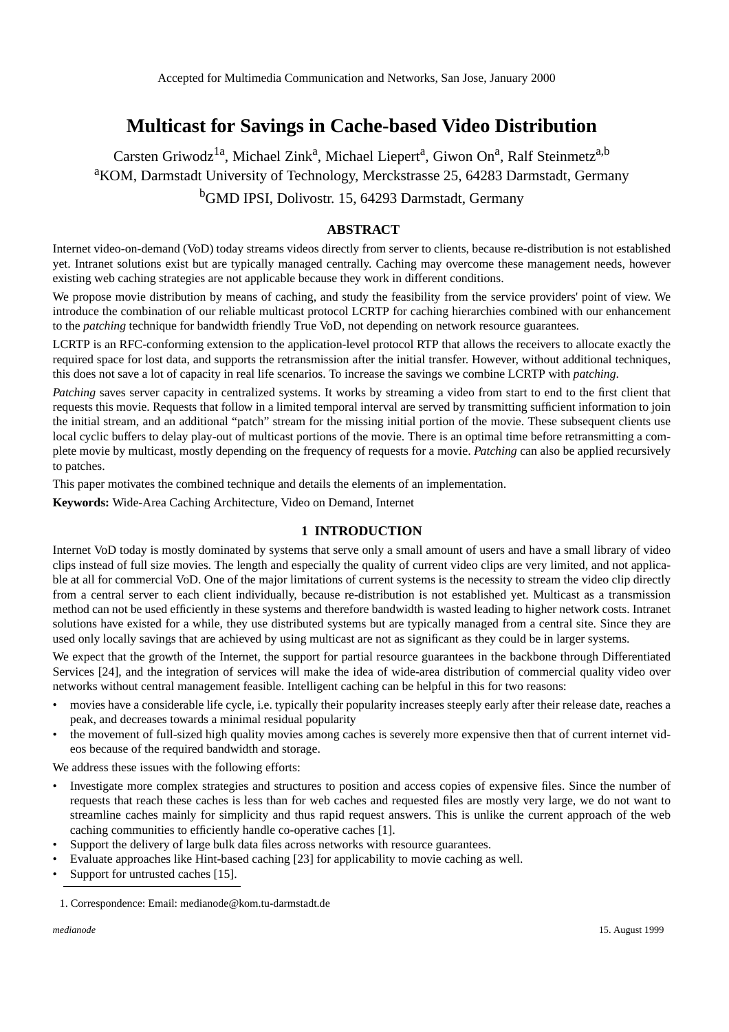# **Multicast for Savings in Cache-based Video Distribution**

Carsten Griwodz<sup>1a</sup>, Michael Zink<sup>a</sup>, Michael Liepert<sup>a</sup>, Giwon On<sup>a</sup>, Ralf Steinmetz<sup>a,b</sup> <sup>a</sup> KOM, Darmstadt University of Technology, Merckstrasse 25, 64283 Darmstadt, Germany <sup>b</sup>GMD IPSI, Dolivostr. 15, 64293 Darmstadt, Germany

# **ABSTRACT**

Internet video-on-demand (VoD) today streams videos directly from server to clients, because re-distribution is not established yet. Intranet solutions exist but are typically managed centrally. Caching may overcome these management needs, however existing web caching strategies are not applicable because they work in different conditions.

We propose movie distribution by means of caching, and study the feasibility from the service providers' point of view. We introduce the combination of our reliable multicast protocol LCRTP for caching hierarchies combined with our enhancement to the *patching* technique for bandwidth friendly True VoD, not depending on network resource guarantees.

LCRTP is an RFC-conforming extension to the application-level protocol RTP that allows the receivers to allocate exactly the required space for lost data, and supports the retransmission after the initial transfer. However, without additional techniques, this does not save a lot of capacity in real life scenarios. To increase the savings we combine LCRTP with *patching*.

*Patching* saves server capacity in centralized systems. It works by streaming a video from start to end to the first client that requests this movie. Requests that follow in a limited temporal interval are served by transmitting sufficient information to join the initial stream, and an additional "patch" stream for the missing initial portion of the movie. These subsequent clients use local cyclic buffers to delay play-out of multicast portions of the movie. There is an optimal time before retransmitting a complete movie by multicast, mostly depending on the frequency of requests for a movie. *Patching* can also be applied recursively to patches.

This paper motivates the combined technique and details the elements of an implementation.

**Keywords:** Wide-Area Caching Architecture, Video on Demand, Internet

## **1 INTRODUCTION**

Internet VoD today is mostly dominated by systems that serve only a small amount of users and have a small library of video clips instead of full size movies. The length and especially the quality of current video clips are very limited, and not applicable at all for commercial VoD. One of the major limitations of current systems is the necessity to stream the video clip directly from a central server to each client individually, because re-distribution is not established yet. Multicast as a transmission method can not be used efficiently in these systems and therefore bandwidth is wasted leading to higher network costs. Intranet solutions have existed for a while, they use distributed systems but are typically managed from a central site. Since they are used only locally savings that are achieved by using multicast are not as significant as they could be in larger systems.

We expect that the growth of the Internet, the support for partial resource guarantees in the backbone through Differentiated Services [24], and the integration of services will make the idea of wide-area distribution of commercial quality video over networks without central management feasible. Intelligent caching can be helpful in this for two reasons:

- movies have a considerable life cycle, i.e. typically their popularity increases steeply early after their release date, reaches a peak, and decreases towards a minimal residual popularity
- the movement of full-sized high quality movies among caches is severely more expensive then that of current internet videos because of the required bandwidth and storage.

We address these issues with the following efforts:

- Investigate more complex strategies and structures to position and access copies of expensive files. Since the number of requests that reach these caches is less than for web caches and requested files are mostly very large, we do not want to streamline caches mainly for simplicity and thus rapid request answers. This is unlike the current approach of the web caching communities to efficiently handle co-operative caches [1].
- Support the delivery of large bulk data files across networks with resource guarantees.
- Evaluate approaches like Hint-based caching [23] for applicability to movie caching as well.
- Support for untrusted caches [15].

<sup>1.</sup> Correspondence: Email: medianode@kom.tu-darmstadt.de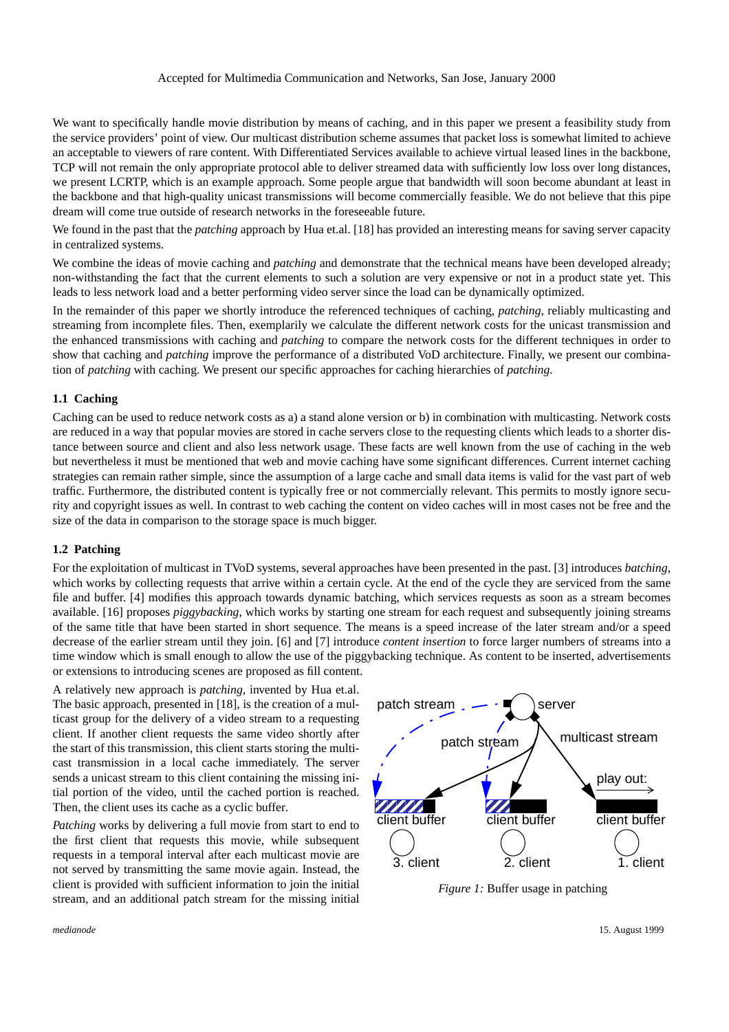We want to specifically handle movie distribution by means of caching, and in this paper we present a feasibility study from the service providers' point of view. Our multicast distribution scheme assumes that packet loss is somewhat limited to achieve an acceptable to viewers of rare content. With Differentiated Services available to achieve virtual leased lines in the backbone, TCP will not remain the only appropriate protocol able to deliver streamed data with sufficiently low loss over long distances, we present LCRTP, which is an example approach. Some people argue that bandwidth will soon become abundant at least in the backbone and that high-quality unicast transmissions will become commercially feasible. We do not believe that this pipe dream will come true outside of research networks in the foreseeable future.

We found in the past that the *patching* approach by Hua et.al. [18] has provided an interesting means for saving server capacity in centralized systems.

We combine the ideas of movie caching and *patching* and demonstrate that the technical means have been developed already; non-withstanding the fact that the current elements to such a solution are very expensive or not in a product state yet. This leads to less network load and a better performing video server since the load can be dynamically optimized.

In the remainder of this paper we shortly introduce the referenced techniques of caching, *patching*, reliably multicasting and streaming from incomplete files. Then, exemplarily we calculate the different network costs for the unicast transmission and the enhanced transmissions with caching and *patching* to compare the network costs for the different techniques in order to show that caching and *patching* improve the performance of a distributed VoD architecture. Finally, we present our combination of *patching* with caching. We present our specific approaches for caching hierarchies of *patching*.

## **1.1 Caching**

Caching can be used to reduce network costs as a) a stand alone version or b) in combination with multicasting. Network costs are reduced in a way that popular movies are stored in cache servers close to the requesting clients which leads to a shorter distance between source and client and also less network usage. These facts are well known from the use of caching in the web but nevertheless it must be mentioned that web and movie caching have some significant differences. Current internet caching strategies can remain rather simple, since the assumption of a large cache and small data items is valid for the vast part of web traffic. Furthermore, the distributed content is typically free or not commercially relevant. This permits to mostly ignore security and copyright issues as well. In contrast to web caching the content on video caches will in most cases not be free and the size of the data in comparison to the storage space is much bigger.

#### **1.2 Patching**

For the exploitation of multicast in TVoD systems, several approaches have been presented in the past. [3] introduces *batching*, which works by collecting requests that arrive within a certain cycle. At the end of the cycle they are serviced from the same file and buffer. [4] modifies this approach towards dynamic batching, which services requests as soon as a stream becomes available. [16] proposes *piggybacking*, which works by starting one stream for each request and subsequently joining streams of the same title that have been started in short sequence. The means is a speed increase of the later stream and/or a speed decrease of the earlier stream until they join. [6] and [7] introduce *content insertion* to force larger numbers of streams into a time window which is small enough to allow the use of the piggybacking technique. As content to be inserted, advertisements or extensions to introducing scenes are proposed as fill content.

A relatively new approach is *patching*, invented by Hua et.al. The basic approach, presented in [18], is the creation of a multicast group for the delivery of a video stream to a requesting client. If another client requests the same video shortly after the start of this transmission, this client starts storing the multicast transmission in a local cache immediately. The server sends a unicast stream to this client containing the missing initial portion of the video, until the cached portion is reached. Then, the client uses its cache as a cyclic buffer.

*Patching* works by delivering a full movie from start to end to the first client that requests this movie, while subsequent requests in a temporal interval after each multicast movie are not served by transmitting the same movie again. Instead, the client is provided with sufficient information to join the initial client is provided with sufficient information to join the initial *Figure 1:* Buffer usage in patching stream, and an additional patch stream for the missing initial

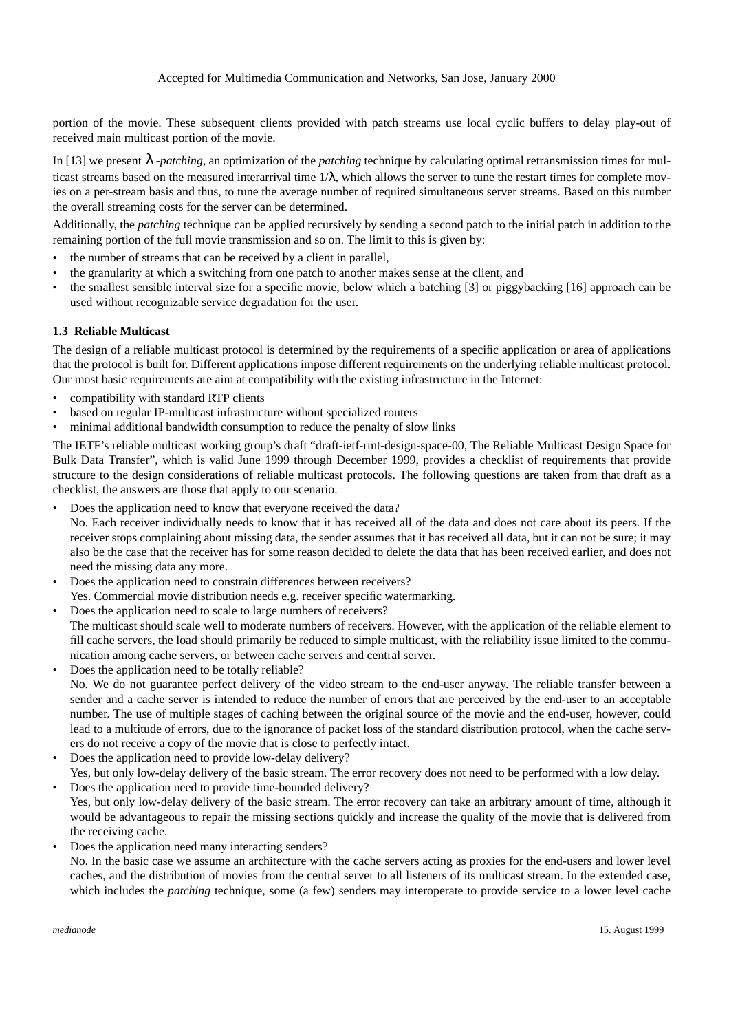portion of the movie. These subsequent clients provided with patch streams use local cyclic buffers to delay play-out of received main multicast portion of the movie.

In [13] we present  $\lambda$ -*patching*, an optimization of the *patching* technique by calculating optimal retransmission times for multicast streams based on the measured interarrival time  $1/\lambda$ , which allows the server to tune the restart times for complete movies on a per-stream basis and thus, to tune the average number of required simultaneous server streams. Based on this number the overall streaming costs for the server can be determined.

Additionally, the *patching* technique can be applied recursively by sending a second patch to the initial patch in addition to the remaining portion of the full movie transmission and so on. The limit to this is given by:

- the number of streams that can be received by a client in parallel,
- the granularity at which a switching from one patch to another makes sense at the client, and
- the smallest sensible interval size for a specific movie, below which a batching [3] or piggybacking [16] approach can be used without recognizable service degradation for the user.

# **1.3 Reliable Multicast**

The design of a reliable multicast protocol is determined by the requirements of a specific application or area of applications that the protocol is built for. Different applications impose different requirements on the underlying reliable multicast protocol. Our most basic requirements are aim at compatibility with the existing infrastructure in the Internet:

- compatibility with standard RTP clients
- based on regular IP-multicast infrastructure without specialized routers
- minimal additional bandwidth consumption to reduce the penalty of slow links

The IETF's reliable multicast working group's draft "draft-ietf-rmt-design-space-00, The Reliable Multicast Design Space for Bulk Data Transfer", which is valid June 1999 through December 1999, provides a checklist of requirements that provide structure to the design considerations of reliable multicast protocols. The following questions are taken from that draft as a checklist, the answers are those that apply to our scenario.

• Does the application need to know that everyone received the data?

No. Each receiver individually needs to know that it has received all of the data and does not care about its peers. If the receiver stops complaining about missing data, the sender assumes that it has received all data, but it can not be sure; it may also be the case that the receiver has for some reason decided to delete the data that has been received earlier, and does not need the missing data any more.

- Does the application need to constrain differences between receivers?
- Yes. Commercial movie distribution needs e.g. receiver specific watermarking.
- Does the application need to scale to large numbers of receivers? The multicast should scale well to moderate numbers of receivers. However, with the application of the reliable element to fill cache servers, the load should primarily be reduced to simple multicast, with the reliability issue limited to the communication among cache servers, or between cache servers and central server.
- Does the application need to be totally reliable? No. We do not guarantee perfect delivery of the video stream to the end-user anyway. The reliable transfer between a sender and a cache server is intended to reduce the number of errors that are perceived by the end-user to an acceptable number. The use of multiple stages of caching between the original source of the movie and the end-user, however, could lead to a multitude of errors, due to the ignorance of packet loss of the standard distribution protocol, when the cache servers do not receive a copy of the movie that is close to perfectly intact.
- Does the application need to provide low-delay delivery? Yes, but only low-delay delivery of the basic stream. The error recovery does not need to be performed with a low delay.
- Does the application need to provide time-bounded delivery? Yes, but only low-delay delivery of the basic stream. The error recovery can take an arbitrary amount of time, although it would be advantageous to repair the missing sections quickly and increase the quality of the movie that is delivered from the receiving cache.
- Does the application need many interacting senders? No. In the basic case we assume an architecture with the cache servers acting as proxies for the end-users and lower level caches, and the distribution of movies from the central server to all listeners of its multicast stream. In the extended case, which includes the *patching* technique, some (a few) senders may interoperate to provide service to a lower level cache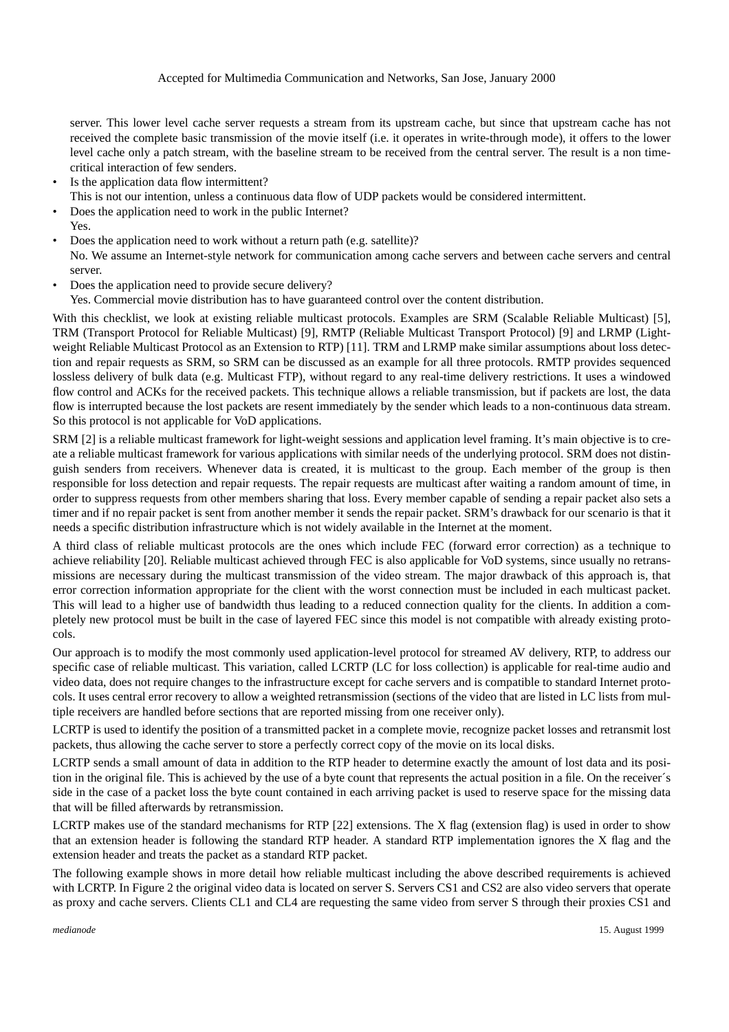server. This lower level cache server requests a stream from its upstream cache, but since that upstream cache has not received the complete basic transmission of the movie itself (i.e. it operates in write-through mode), it offers to the lower level cache only a patch stream, with the baseline stream to be received from the central server. The result is a non timecritical interaction of few senders.

Is the application data flow intermittent?

This is not our intention, unless a continuous data flow of UDP packets would be considered intermittent.

- Does the application need to work in the public Internet? Yes.
- Does the application need to work without a return path (e.g. satellite)? No. We assume an Internet-style network for communication among cache servers and between cache servers and central server.
- Does the application need to provide secure delivery?

Yes. Commercial movie distribution has to have guaranteed control over the content distribution.

With this checklist, we look at existing reliable multicast protocols. Examples are SRM (Scalable Reliable Multicast) [5], TRM (Transport Protocol for Reliable Multicast) [9], RMTP (Reliable Multicast Transport Protocol) [9] and LRMP (Lightweight Reliable Multicast Protocol as an Extension to RTP) [11]. TRM and LRMP make similar assumptions about loss detection and repair requests as SRM, so SRM can be discussed as an example for all three protocols. RMTP provides sequenced lossless delivery of bulk data (e.g. Multicast FTP), without regard to any real-time delivery restrictions. It uses a windowed flow control and ACKs for the received packets. This technique allows a reliable transmission, but if packets are lost, the data flow is interrupted because the lost packets are resent immediately by the sender which leads to a non-continuous data stream. So this protocol is not applicable for VoD applications.

SRM [2] is a reliable multicast framework for light-weight sessions and application level framing. It's main objective is to create a reliable multicast framework for various applications with similar needs of the underlying protocol. SRM does not distinguish senders from receivers. Whenever data is created, it is multicast to the group. Each member of the group is then responsible for loss detection and repair requests. The repair requests are multicast after waiting a random amount of time, in order to suppress requests from other members sharing that loss. Every member capable of sending a repair packet also sets a timer and if no repair packet is sent from another member it sends the repair packet. SRM's drawback for our scenario is that it needs a specific distribution infrastructure which is not widely available in the Internet at the moment.

A third class of reliable multicast protocols are the ones which include FEC (forward error correction) as a technique to achieve reliability [20]. Reliable multicast achieved through FEC is also applicable for VoD systems, since usually no retransmissions are necessary during the multicast transmission of the video stream. The major drawback of this approach is, that error correction information appropriate for the client with the worst connection must be included in each multicast packet. This will lead to a higher use of bandwidth thus leading to a reduced connection quality for the clients. In addition a completely new protocol must be built in the case of layered FEC since this model is not compatible with already existing protocols.

Our approach is to modify the most commonly used application-level protocol for streamed AV delivery, RTP, to address our specific case of reliable multicast. This variation, called LCRTP (LC for loss collection) is applicable for real-time audio and video data, does not require changes to the infrastructure except for cache servers and is compatible to standard Internet protocols. It uses central error recovery to allow a weighted retransmission (sections of the video that are listed in LC lists from multiple receivers are handled before sections that are reported missing from one receiver only).

LCRTP is used to identify the position of a transmitted packet in a complete movie, recognize packet losses and retransmit lost packets, thus allowing the cache server to store a perfectly correct copy of the movie on its local disks.

LCRTP sends a small amount of data in addition to the RTP header to determine exactly the amount of lost data and its position in the original file. This is achieved by the use of a byte count that represents the actual position in a file. On the receiver´s side in the case of a packet loss the byte count contained in each arriving packet is used to reserve space for the missing data that will be filled afterwards by retransmission.

LCRTP makes use of the standard mechanisms for RTP [22] extensions. The X flag (extension flag) is used in order to show that an extension header is following the standard RTP header. A standard RTP implementation ignores the X flag and the extension header and treats the packet as a standard RTP packet.

The following example shows in more detail how reliable multicast including the above described requirements is achieved with LCRTP. In Figure 2 the original video data is located on server S. Servers CS1 and CS2 are also video servers that operate as proxy and cache servers. Clients CL1 and CL4 are requesting the same video from server S through their proxies CS1 and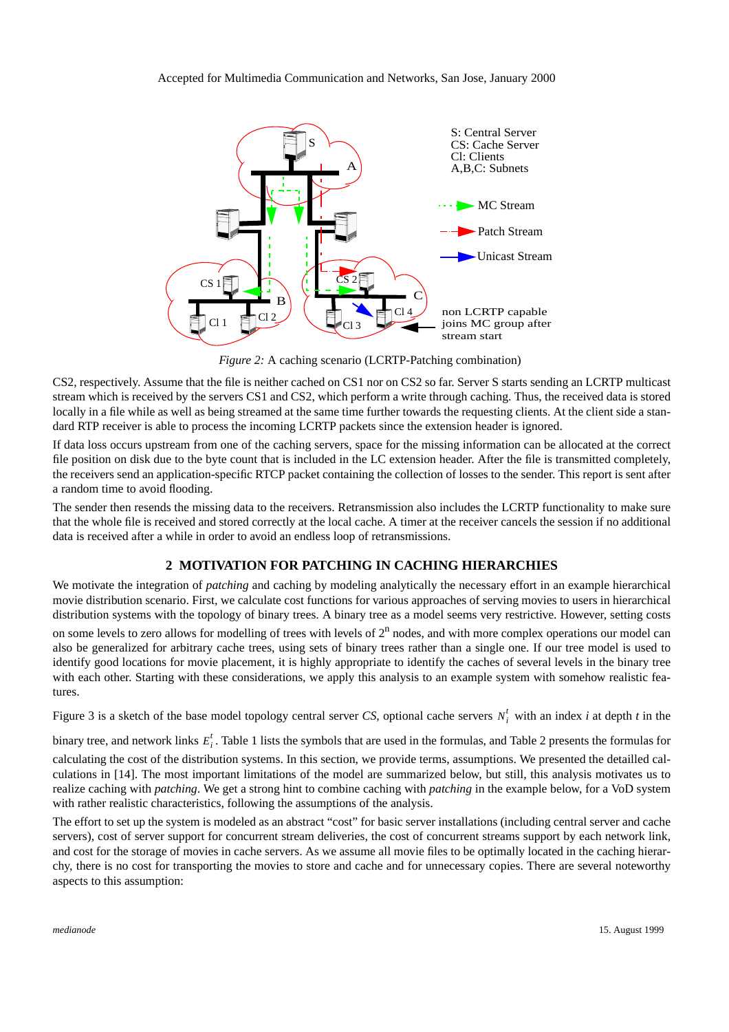

*Figure 2:* A caching scenario (LCRTP-Patching combination)

CS2, respectively. Assume that the file is neither cached on CS1 nor on CS2 so far. Server S starts sending an LCRTP multicast stream which is received by the servers CS1 and CS2, which perform a write through caching. Thus, the received data is stored locally in a file while as well as being streamed at the same time further towards the requesting clients. At the client side a standard RTP receiver is able to process the incoming LCRTP packets since the extension header is ignored.

If data loss occurs upstream from one of the caching servers, space for the missing information can be allocated at the correct file position on disk due to the byte count that is included in the LC extension header. After the file is transmitted completely, the receivers send an application-specific RTCP packet containing the collection of losses to the sender. This report is sent after a random time to avoid flooding.

The sender then resends the missing data to the receivers. Retransmission also includes the LCRTP functionality to make sure that the whole file is received and stored correctly at the local cache. A timer at the receiver cancels the session if no additional data is received after a while in order to avoid an endless loop of retransmissions.

# **2 MOTIVATION FOR PATCHING IN CACHING HIERARCHIES**

We motivate the integration of *patching* and caching by modeling analytically the necessary effort in an example hierarchical movie distribution scenario. First, we calculate cost functions for various approaches of serving movies to users in hierarchical distribution systems with the topology of binary trees. A binary tree as a model seems very restrictive. However, setting costs on some levels to zero allows for modelling of trees with levels of  $2<sup>n</sup>$  nodes, and with more complex operations our model can also be generalized for arbitrary cache trees, using sets of binary trees rather than a single one. If our tree model is used to identify good locations for movie placement, it is highly appropriate to identify the caches of several levels in the binary tree with each other. Starting with these considerations, we apply this analysis to an example system with somehow realistic features.

Figure 3 is a sketch of the base model topology central server *CS*, optional cache servers  $N_i^t$  with an index *i* at depth *t* in the

binary tree, and network links  $E_i^t$ . Table 1 lists the symbols that are used in the formulas, and Table 2 presents the formulas for

calculating the cost of the distribution systems. In this section, we provide terms, assumptions. We presented the detailled calculations in [14]. The most important limitations of the model are summarized below, but still, this analysis motivates us to realize caching with *patching*. We get a strong hint to combine caching with *patching* in the example below, for a VoD system with rather realistic characteristics, following the assumptions of the analysis.

The effort to set up the system is modeled as an abstract "cost" for basic server installations (including central server and cache servers), cost of server support for concurrent stream deliveries, the cost of concurrent streams support by each network link, and cost for the storage of movies in cache servers. As we assume all movie files to be optimally located in the caching hierarchy, there is no cost for transporting the movies to store and cache and for unnecessary copies. There are several noteworthy aspects to this assumption: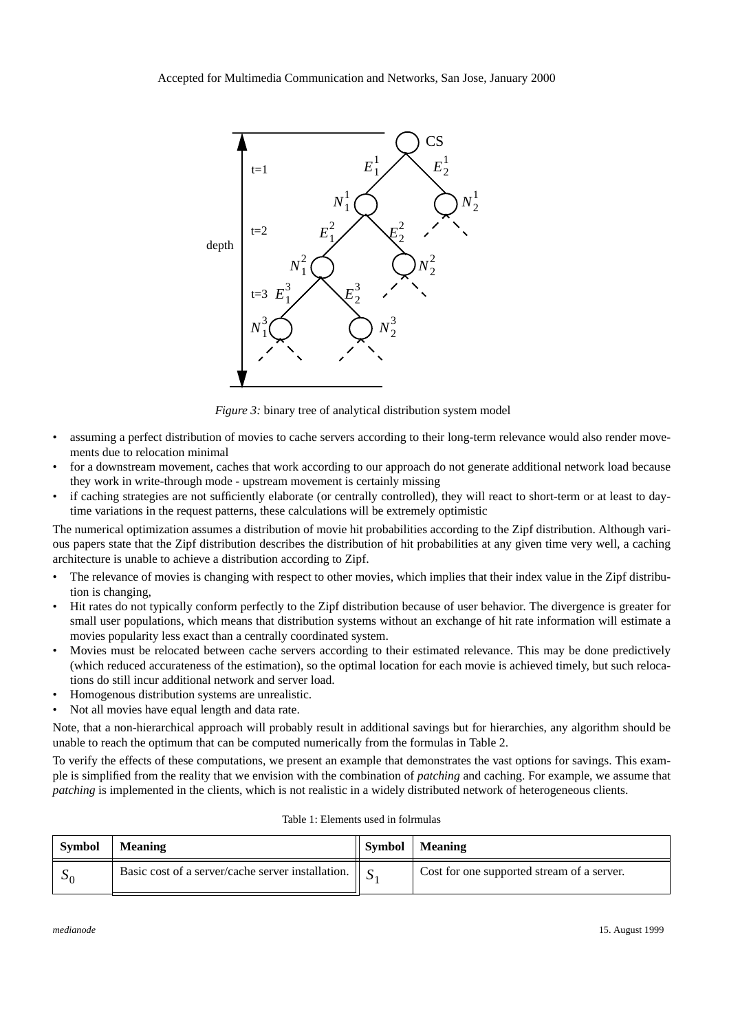

*Figure 3:* binary tree of analytical distribution system model

- assuming a perfect distribution of movies to cache servers according to their long-term relevance would also render movements due to relocation minimal
- for a downstream movement, caches that work according to our approach do not generate additional network load because they work in write-through mode - upstream movement is certainly missing
- if caching strategies are not sufficiently elaborate (or centrally controlled), they will react to short-term or at least to daytime variations in the request patterns, these calculations will be extremely optimistic

The numerical optimization assumes a distribution of movie hit probabilities according to the Zipf distribution. Although various papers state that the Zipf distribution describes the distribution of hit probabilities at any given time very well, a caching architecture is unable to achieve a distribution according to Zipf.

- The relevance of movies is changing with respect to other movies, which implies that their index value in the Zipf distribution is changing,
- Hit rates do not typically conform perfectly to the Zipf distribution because of user behavior. The divergence is greater for small user populations, which means that distribution systems without an exchange of hit rate information will estimate a movies popularity less exact than a centrally coordinated system.
- Movies must be relocated between cache servers according to their estimated relevance. This may be done predictively (which reduced accurateness of the estimation), so the optimal location for each movie is achieved timely, but such relocations do still incur additional network and server load.
- Homogenous distribution systems are unrealistic.
- Not all movies have equal length and data rate.

Note, that a non-hierarchical approach will probably result in additional savings but for hierarchies, any algorithm should be unable to reach the optimum that can be computed numerically from the formulas in Table 2.

To verify the effects of these computations, we present an example that demonstrates the vast options for savings. This example is simplified from the reality that we envision with the combination of *patching* and caching. For example, we assume that *patching* is implemented in the clients, which is not realistic in a widely distributed network of heterogeneous clients.

| <b>Symbol</b> | <b>Meaning</b>                                    | Symbol | <b>Meaning</b>                             |
|---------------|---------------------------------------------------|--------|--------------------------------------------|
| ്റ            | Basic cost of a server/cache server installation. |        | Cost for one supported stream of a server. |

#### Table 1: Elements used in folrmulas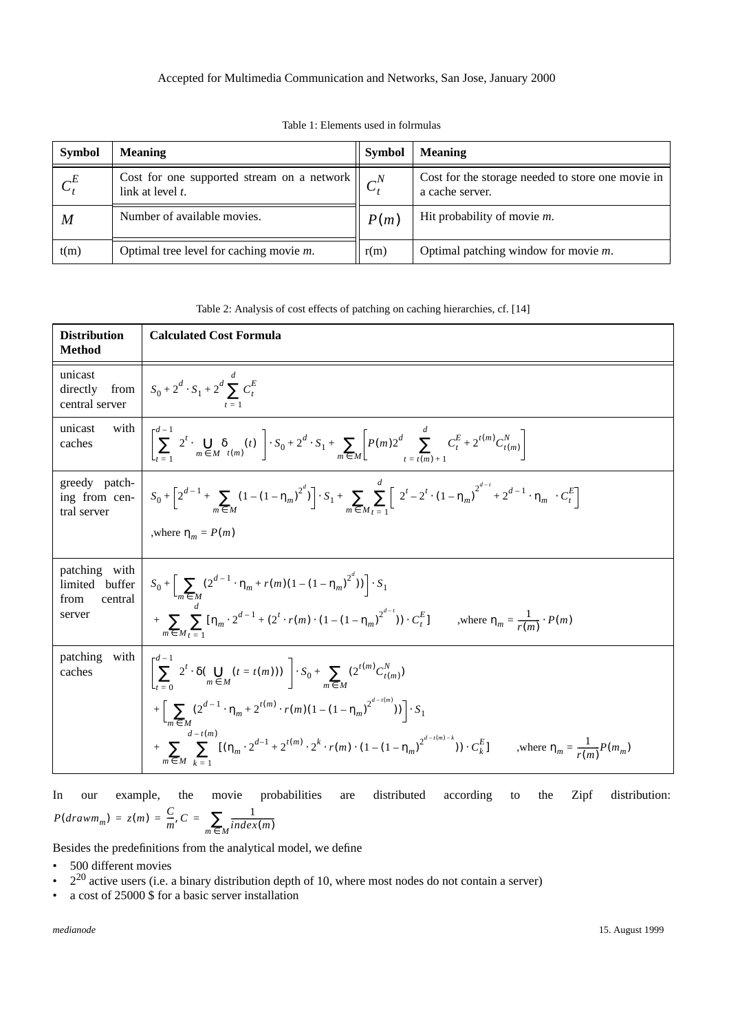## Accepted for Multimedia Communication and Networks, San Jose, January 2000

| <b>Symbol</b>   | <b>Meaning</b>                                                                | <b>Symbol</b> | <b>Meaning</b>                                                       |
|-----------------|-------------------------------------------------------------------------------|---------------|----------------------------------------------------------------------|
| $\mathcal{L}^E$ | Cost for one supported stream on a network $\parallel$<br>link at level $t$ . | $\sigma^N$    | Cost for the storage needed to store one movie in<br>a cache server. |
| $\overline{M}$  | Number of available movies.                                                   | P(m)          | Hit probability of movie <i>m</i> .                                  |
| t(m)            | Optimal tree level for caching movie $m$ .                                    | r(m)          | Optimal patching window for movie $m$ .                              |

Table 1: Elements used in folrmulas

Table 2: Analysis of cost effects of patching on caching hierarchies, cf. [14]

| <b>Distribution</b><br><b>Method</b>                         | <b>Calculated Cost Formula</b>                                                                                                                                                                                                                                                                                                                                                                                                                  |
|--------------------------------------------------------------|-------------------------------------------------------------------------------------------------------------------------------------------------------------------------------------------------------------------------------------------------------------------------------------------------------------------------------------------------------------------------------------------------------------------------------------------------|
| unicast<br>directly<br>central server                        | from $S_0 + 2^d \cdot S_1 + 2^d \sum C_t^E$                                                                                                                                                                                                                                                                                                                                                                                                     |
| unicast<br>with<br>caches                                    | $\left[\sum_{t=1}^{a-1} \left(2^t \cdot \bigcup_{m \in M} \delta_{t(m)}(t)\right) \right] \cdot S_0 + 2^d \cdot S_1 + \sum_{m \in M} \left[ P(m) 2^d \sum_{t=t(m)+1}^{\infty} C_t^E + 2^{t(m)} C_{t(m)}^N \right]$                                                                                                                                                                                                                              |
| tral server                                                  | ing from cen-<br>$\begin{vmatrix} S_0 + \left[ 2^{d-1} + \sum_{m \in M} (1 - (1 - \eta_m)^{2^d}) \right] \cdot S_1 + \sum_{m \in M} \sum_{r=1}^d \left[ \left( 2^t - 2^t \cdot (1 - \eta_m)^{2^{d-r}} + 2^{d-1} \cdot \eta_m \right) \cdot C_t^E \right]$<br>,where $\eta_m = P(m)$                                                                                                                                                             |
| patching with<br>limited buffer<br>central<br>from<br>server | $\begin{bmatrix} S_0 + \left[ \sum_{m \in M} (2^{d-1} \cdot \eta_m + r(m)(1 - (1 - \eta_m)^{2^d})) \right] \cdot S_1 \\ + \sum_{m \in M} \sum_{m=1}^d \left[ \eta_m \cdot 2^{d-1} + (2^t \cdot r(m) \cdot (1 - (1 - \eta_m)^{2^{d-t}})) \cdot C_t^E \right] \end{bmatrix}$ , where $\eta_m = \frac{1}{r(m)} \cdot P(m)$<br>$m \in M_{t-1}$                                                                                                      |
| patching with<br>caches                                      | $\left[ \sum_{t=0} \left( 2^t \cdot \delta(\bigcup_{m \in M} (t = t(m))) \right) \right] \cdot S_0 + \sum_{m \in M} (2^{t(m)} C_{t(m)}^N)$<br>$+\bigg[\sum_{m\in M}(2^{d-1}\cdot\eta_m+2^{t(m)}\cdot r(m)(1-(1-\eta_m)^{2^{d-t(m)}}))\bigg]\cdot S_1$<br>+ $\sum_{d = t(m)}^{d = t(m)} [(\eta_m \cdot 2^{d-1} + 2^{t(m)} \cdot 2^k \cdot r(m) \cdot (1 - (1 - \eta_m)^{2^{d - t(m) - k}})) \cdot C_k^E]$ where $\eta_m = \frac{1}{r(m)} P(m_m)$ |

In our example, the movie probabilities are distributed according to the Zipf distribution:  $P(drawm_m) = z(m) = \frac{C}{m}, C = \sum_{m \in M} \frac{1}{index(m)}$ 

Besides the predefinitions from the analytical model, we define

- 500 different movies
- $\cdot$   $2^{20}$  active users (i.e. a binary distribution depth of 10, where most nodes do not contain a server)
- a cost of 25000 \$ for a basic server installation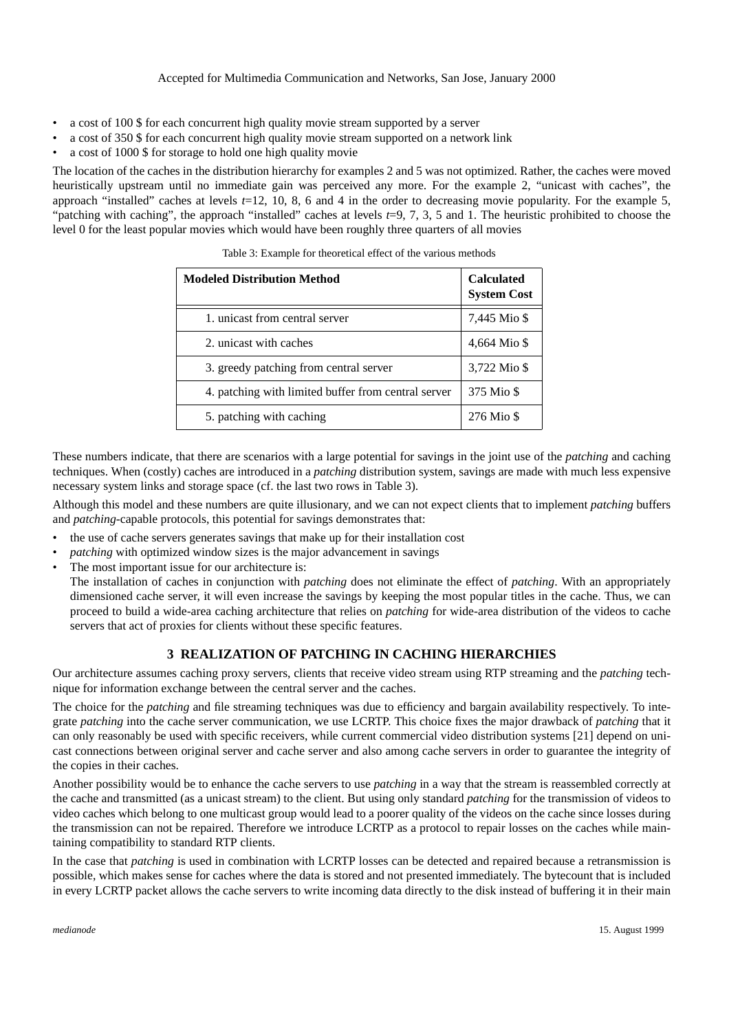- a cost of 100 \$ for each concurrent high quality movie stream supported by a server
- a cost of 350 \$ for each concurrent high quality movie stream supported on a network link
- a cost of 1000 \$ for storage to hold one high quality movie

The location of the caches in the distribution hierarchy for examples 2 and 5 was not optimized. Rather, the caches were moved heuristically upstream until no immediate gain was perceived any more. For the example 2, "unicast with caches", the approach "installed" caches at levels  $t=12$ , 10, 8, 6 and 4 in the order to decreasing movie popularity. For the example 5, "patching with caching", the approach "installed" caches at levels *t*=9, 7, 3, 5 and 1. The heuristic prohibited to choose the level 0 for the least popular movies which would have been roughly three quarters of all movies

| <b>Modeled Distribution Method</b>                  | <b>Calculated</b><br><b>System Cost</b> |
|-----------------------------------------------------|-----------------------------------------|
| 1. unicast from central server                      | 7,445 Mio \$                            |
| 2. unicast with caches                              | 4,664 Mio \$                            |
| 3. greedy patching from central server              | 3,722 Mio \$                            |
| 4. patching with limited buffer from central server | 375 Mio \$                              |
| 5. patching with caching                            | 276 Mio \$                              |

Table 3: Example for theoretical effect of the various methods

These numbers indicate, that there are scenarios with a large potential for savings in the joint use of the *patching* and caching techniques. When (costly) caches are introduced in a *patching* distribution system, savings are made with much less expensive necessary system links and storage space (cf. the last two rows in Table 3).

Although this model and these numbers are quite illusionary, and we can not expect clients that to implement *patching* buffers and *patching*-capable protocols, this potential for savings demonstrates that:

- the use of cache servers generates savings that make up for their installation cost
- *patching* with optimized window sizes is the major advancement in savings
- The most important issue for our architecture is:

The installation of caches in conjunction with *patching* does not eliminate the effect of *patching*. With an appropriately dimensioned cache server, it will even increase the savings by keeping the most popular titles in the cache. Thus, we can proceed to build a wide-area caching architecture that relies on *patching* for wide-area distribution of the videos to cache servers that act of proxies for clients without these specific features.

## **3 REALIZATION OF PATCHING IN CACHING HIERARCHIES**

Our architecture assumes caching proxy servers, clients that receive video stream using RTP streaming and the *patching* technique for information exchange between the central server and the caches.

The choice for the *patching* and file streaming techniques was due to efficiency and bargain availability respectively. To integrate *patching* into the cache server communication, we use LCRTP. This choice fixes the major drawback of *patching* that it can only reasonably be used with specific receivers, while current commercial video distribution systems [21] depend on unicast connections between original server and cache server and also among cache servers in order to guarantee the integrity of the copies in their caches.

Another possibility would be to enhance the cache servers to use *patching* in a way that the stream is reassembled correctly at the cache and transmitted (as a unicast stream) to the client. But using only standard *patching* for the transmission of videos to video caches which belong to one multicast group would lead to a poorer quality of the videos on the cache since losses during the transmission can not be repaired. Therefore we introduce LCRTP as a protocol to repair losses on the caches while maintaining compatibility to standard RTP clients.

In the case that *patching* is used in combination with LCRTP losses can be detected and repaired because a retransmission is possible, which makes sense for caches where the data is stored and not presented immediately. The bytecount that is included in every LCRTP packet allows the cache servers to write incoming data directly to the disk instead of buffering it in their main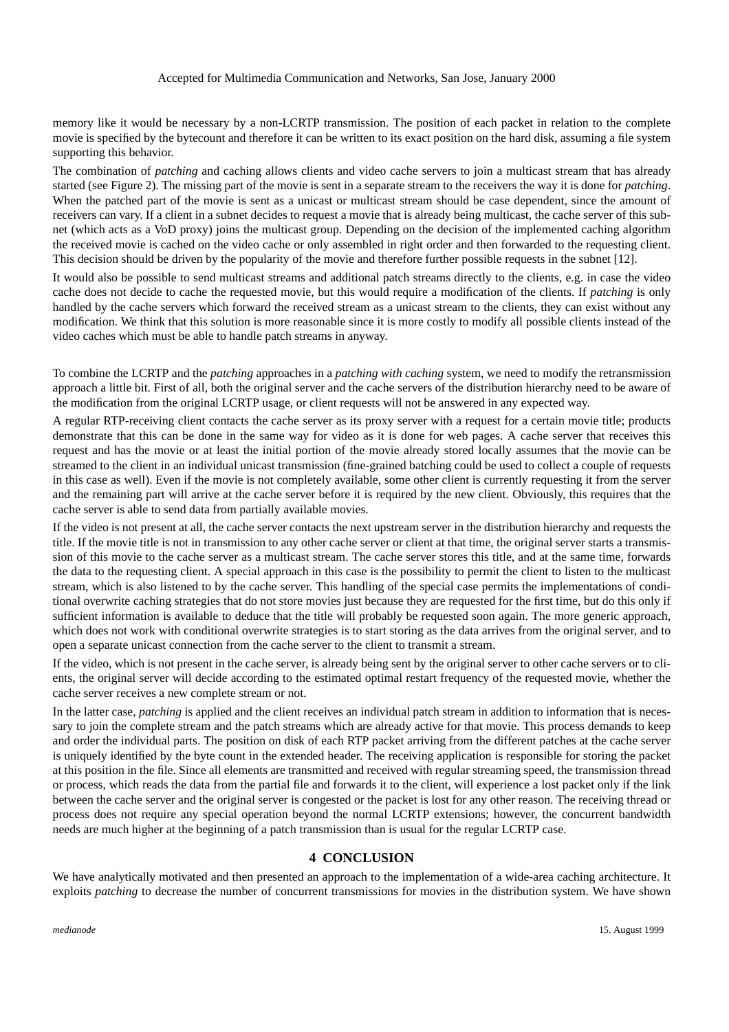#### Accepted for Multimedia Communication and Networks, San Jose, January 2000

memory like it would be necessary by a non-LCRTP transmission. The position of each packet in relation to the complete movie is specified by the bytecount and therefore it can be written to its exact position on the hard disk, assuming a file system supporting this behavior.

The combination of *patching* and caching allows clients and video cache servers to join a multicast stream that has already started (see Figure 2). The missing part of the movie is sent in a separate stream to the receivers the way it is done for *patching*. When the patched part of the movie is sent as a unicast or multicast stream should be case dependent, since the amount of receivers can vary. If a client in a subnet decides to request a movie that is already being multicast, the cache server of this subnet (which acts as a VoD proxy) joins the multicast group. Depending on the decision of the implemented caching algorithm the received movie is cached on the video cache or only assembled in right order and then forwarded to the requesting client. This decision should be driven by the popularity of the movie and therefore further possible requests in the subnet [12].

It would also be possible to send multicast streams and additional patch streams directly to the clients, e.g. in case the video cache does not decide to cache the requested movie, but this would require a modification of the clients. If *patching* is only handled by the cache servers which forward the received stream as a unicast stream to the clients, they can exist without any modification. We think that this solution is more reasonable since it is more costly to modify all possible clients instead of the video caches which must be able to handle patch streams in anyway.

To combine the LCRTP and the *patching* approaches in a *patching with caching* system, we need to modify the retransmission approach a little bit. First of all, both the original server and the cache servers of the distribution hierarchy need to be aware of the modification from the original LCRTP usage, or client requests will not be answered in any expected way.

A regular RTP-receiving client contacts the cache server as its proxy server with a request for a certain movie title; products demonstrate that this can be done in the same way for video as it is done for web pages. A cache server that receives this request and has the movie or at least the initial portion of the movie already stored locally assumes that the movie can be streamed to the client in an individual unicast transmission (fine-grained batching could be used to collect a couple of requests in this case as well). Even if the movie is not completely available, some other client is currently requesting it from the server and the remaining part will arrive at the cache server before it is required by the new client. Obviously, this requires that the cache server is able to send data from partially available movies.

If the video is not present at all, the cache server contacts the next upstream server in the distribution hierarchy and requests the title. If the movie title is not in transmission to any other cache server or client at that time, the original server starts a transmission of this movie to the cache server as a multicast stream. The cache server stores this title, and at the same time, forwards the data to the requesting client. A special approach in this case is the possibility to permit the client to listen to the multicast stream, which is also listened to by the cache server. This handling of the special case permits the implementations of conditional overwrite caching strategies that do not store movies just because they are requested for the first time, but do this only if sufficient information is available to deduce that the title will probably be requested soon again. The more generic approach, which does not work with conditional overwrite strategies is to start storing as the data arrives from the original server, and to open a separate unicast connection from the cache server to the client to transmit a stream.

If the video, which is not present in the cache server, is already being sent by the original server to other cache servers or to clients, the original server will decide according to the estimated optimal restart frequency of the requested movie, whether the cache server receives a new complete stream or not.

In the latter case, *patching* is applied and the client receives an individual patch stream in addition to information that is necessary to join the complete stream and the patch streams which are already active for that movie. This process demands to keep and order the individual parts. The position on disk of each RTP packet arriving from the different patches at the cache server is uniquely identified by the byte count in the extended header. The receiving application is responsible for storing the packet at this position in the file. Since all elements are transmitted and received with regular streaming speed, the transmission thread or process, which reads the data from the partial file and forwards it to the client, will experience a lost packet only if the link between the cache server and the original server is congested or the packet is lost for any other reason. The receiving thread or process does not require any special operation beyond the normal LCRTP extensions; however, the concurrent bandwidth needs are much higher at the beginning of a patch transmission than is usual for the regular LCRTP case.

## **4 CONCLUSION**

We have analytically motivated and then presented an approach to the implementation of a wide-area caching architecture. It exploits *patching* to decrease the number of concurrent transmissions for movies in the distribution system. We have shown